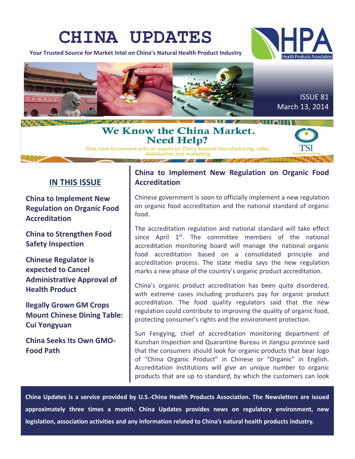# **CHINA UPDATES**

**Your Trusted Source for Market Intel on China's Natural Health Product Industry**





# We Know the China Market. **Need Help?**

Click here to connect with an expert on China focused manufacturing, sales,

# **IN THIS ISSUE**

**China to Implement New Regulation on Organic Food Accreditation**

**China to Strengthen Food Safety Inspection**

**Chinese Regulator is expected to Cancel Administrative Approval of Health Product**

**llegally Grown GM Crops Mount Chinese Dining Table: Cui Yongyuan**

**China Seeks Its Own GMO-Food Path**

# **China to Implement New Regulation on Organic Food Accreditation**

Chinese government is soon to officially implement a new regulation on organic food accreditation and the national standard of organic food.

The accreditation regulation and national standard will take effect since April  $1<sup>st</sup>$ . The committee members of the national accreditation monitoring board will manage the national organic food accreditation based on a consolidated principle and accreditation process. The state media says the new regulation marks a new phase of the country's organic product accreditation.

China's organic product accreditation has been quite disordered, with extreme cases including producers pay for organic product accreditation. The food quality regulators said that the new regulation could contribute to improving the quality of organic food, protecting consumer's rights and the environment protection.

Sun Fengying, chief of accreditation monitoring department of Kunshan Inspection and Quarantine Bureau in Jiangsu province said that the consumers should look for organic products that bear logo of "China Organic Product" in Chinese or "Organic" in English. Accreditation institutions will give an unique number to organic products that are up to standard, by which the customers can look

**China Updates is a service provided by U.S.-China Health Products Association. The Newsletters are issued approximately three times a month. China Updates provides news on regulatory environment, new legislation, association activities and any information related to China's natural health products industry.**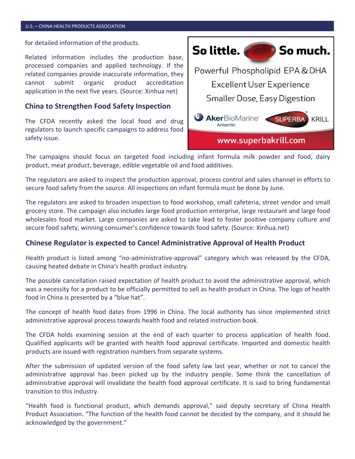#### U.S. – CHINA HEALTH PRODUCTS ASSOCIATION

for detailed information of the products.

Related information includes the production base, processed companies and applied technology. If the related companies provide inaccurate information, they cannot submit organic product accreditation application in the next five years. (Source: Xinhua net)

#### **China to Strengthen Food Safety Inspection**

The CFDA recently asked the local food and drug regulators to launch specific campaigns to address food safety issue.



The campaigns should focus on targeted food including infant formula milk powder and food, dairy product, meat product, beverage, edible vegetable oil and food additives.

The regulators are asked to inspect the production approval, process control and sales channel in efforts to secure food safety from the source. All inspections on infant formula must be done by June.

The regulators are asked to broaden inspection to food workshop, small cafeteria, street vendor and small grocery store. The campaign also includes large food production enterprise, large restaurant and large food wholesales food market. Large companies are asked to take lead to foster positive company culture and secure food safety, winning consumer's confidence towards food safety. (Source: Xinhua.net)

#### **Chinese Regulator is expected to Cancel Administrative Approval of Health Product**

Health product is listed among "no-administrative-approval" category which was released by the CFDA, causing heated debate in China's health product industry.

The possible cancellation raised expectation of health product to avoid the administrative approval, which was a necessity for a product to be officially permitted to sell as health product in China. The logo of health food in China is presented by a "blue hat".

The concept of health food dates from 1996 in China. The local authority has since implemented strict administrative approval process towards health food and related instruction book.

The CFDA holds examining session at the end of each quarter to process application of health food. Qualified applicants will be granted with health food approval certificate. Imported and domestic health products are issued with registration numbers from separate systems.

After the submission of updated version of the food safety law last year, whether or not to cancel the administrative approval has been picked up by the industry people. Some think the cancellation of administrative approval will invalidate the health food approval certificate. It is said to bring fundamental transition to this industry.

"Health food is functional product, which demands approval," said deputy secretary of China Health Product Association. "The function of the health food cannot be decided by the company, and it should be acknowledged by the government."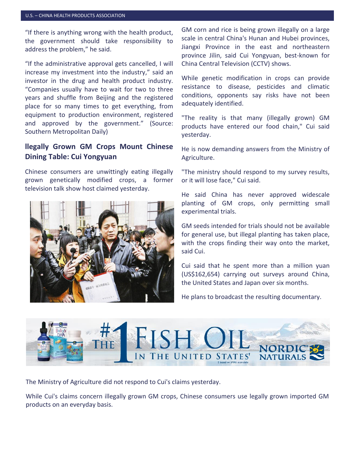#### U.S. – CHINA HEALTH PRODUCTS ASSOCIATION

"If there is anything wrong with the health product, the government should take responsibility to address the problem," he said.

"If the administrative approval gets cancelled, I will increase my investment into the industry," said an investor in the drug and health product industry. "Companies usually have to wait for two to three years and shuffle from Beijing and the registered place for so many times to get everything, from equipment to production environment, registered and approved by the government." (Source: Southern Metropolitan Daily)

### **llegally Grown GM Crops Mount Chinese Dining Table: Cui Yongyuan**

Chinese consumers are unwittingly eating illegally grown genetically modified crops, a former television talk show host claimed yesterday.



GM corn and rice is being grown illegally on a large scale in central China's Hunan and Hubei provinces, Jiangxi Province in the east and northeastern province Jilin, said Cui Yongyuan, best-known for China Central Television (CCTV) shows.

While genetic modification in crops can provide resistance to disease, pesticides and climatic conditions, opponents say risks have not been adequately identified.

"The reality is that many (illegally grown) GM products have entered our food chain," Cui said yesterday.

He is now demanding answers from the Ministry of Agriculture.

"The ministry should respond to my survey results, or it will lose face," Cui said.

He said China has never approved widescale planting of GM crops, only permitting small experimental trials.

GM seeds intended for trials should not be available for general use, but illegal planting has taken place, with the crops finding their way onto the market, said Cui.

Cui said that he spent more than a million yuan (US\$162,654) carrying out surveys around China, the United States and Japan over six months.

He plans to broadcast the resulting documentary.



The Ministry of Agriculture did not respond to Cui's claims yesterday.

While Cui's claims concern illegally grown GM crops, Chinese consumers use legally grown imported GM products on an everyday basis.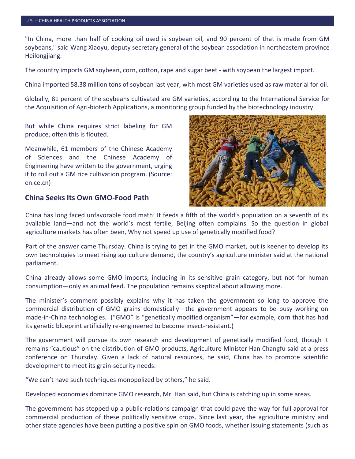"In China, more than half of cooking oil used is soybean oil, and 90 percent of that is made from GM soybeans," said Wang Xiaoyu, deputy secretary general of the soybean association in northeastern province Heilongjiang.

The country imports GM soybean, corn, cotton, rape and sugar beet - with soybean the largest import.

China imported 58.38 million tons of soybean last year, with most GM varieties used as raw material for oil.

Globally, 81 percent of the soybeans cultivated are GM varieties, according to the International Service for the Acquisition of Agri-biotech Applications, a monitoring group funded by the biotechnology industry.

But while China requires strict labeling for GM produce, often this is flouted.

Meanwhile, 61 members of the Chinese Academy of Sciences and the Chinese Academy of Engineering have written to the government, urging it to roll out a GM rice cultivation program. (Source: en.ce.cn)

#### **China Seeks Its Own GMO-Food Path**



China has long faced unfavorable food math: It feeds a fifth of the world's population on a seventh of its available land—and not the world's most fertile, Beijing often complains. So the question in global agriculture markets has often been, Why not speed up use of genetically modified food?

Part of the answer came Thursday. China is trying to get in the GMO market, but is keener to develop its own technologies to meet rising agriculture demand, the country's agriculture minister said at the national parliament.

China already allows some GMO imports, including in its sensitive grain category, but not for human consumption—only as animal feed. The population remains skeptical about allowing more.

The minister's comment possibly explains why it has taken the government so long to approve the commercial distribution of GMO grains domestically—the government appears to be busy working on made-in-China technologies. ("GMO" is "genetically modified organism"—for example, corn that has had its genetic blueprint artificially re-engineered to become insect-resistant.)

The government will pursue its own research and development of genetically modified food, though it remains "cautious" on the distribution of GMO products, Agriculture Minister Han Changfu said at a press conference on Thursday. Given a lack of natural resources, he said, China has to promote scientific development to meet its grain-security needs.

"We can't have such techniques monopolized by others," he said.

Developed economies dominate GMO research, Mr. Han said, but China is catching up in some areas.

The government has stepped up a public-relations campaign that could pave the way for full approval for commercial production of these politically sensitive crops. Since last year, the agriculture ministry and other state agencies have been putting a positive spin on GMO foods, whether issuing statements (such as